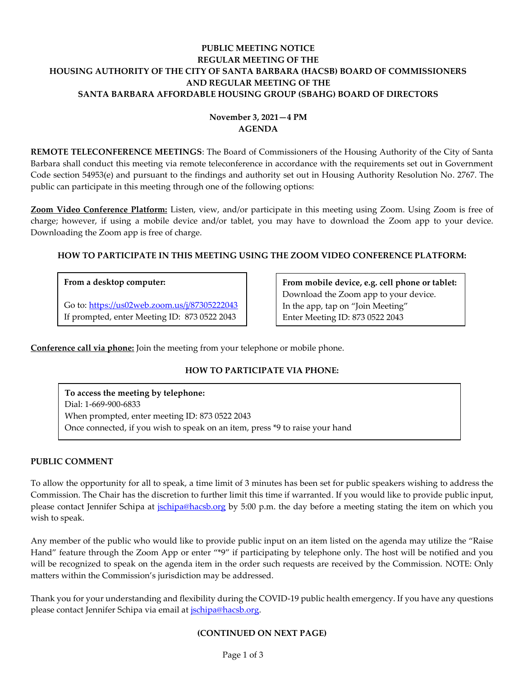# **PUBLIC MEETING NOTICE REGULAR MEETING OF THE HOUSING AUTHORITY OF THE CITY OF SANTA BARBARA (HACSB) BOARD OF COMMISSIONERS AND REGULAR MEETING OF THE SANTA BARBARA AFFORDABLE HOUSING GROUP (SBAHG) BOARD OF DIRECTORS**

# **November 3, 2021—4 PM AGENDA**

**REMOTE TELECONFERENCE MEETINGS**: The Board of Commissioners of the Housing Authority of the City of Santa Barbara shall conduct this meeting via remote teleconference in accordance with the requirements set out in Government Code section 54953(e) and pursuant to the findings and authority set out in Housing Authority Resolution No. 2767. The public can participate in this meeting through one of the following options:

**Zoom Video Conference Platform:** Listen, view, and/or participate in this meeting using Zoom. Using Zoom is free of charge; however, if using a mobile device and/or tablet, you may have to download the Zoom app to your device. Downloading the Zoom app is free of charge.

## **HOW TO PARTICIPATE IN THIS MEETING USING THE ZOOM VIDEO CONFERENCE PLATFORM:**

### **From a desktop computer:**

Go to:<https://us02web.zoom.us/j/87305222043> If prompted, enter Meeting ID: 873 0522 2043

**From mobile device, e.g. cell phone or tablet:** Download the Zoom app to your device. In the app, tap on "Join Meeting" Enter Meeting ID: 873 0522 2043

**Conference call via phone:** Join the meeting from your telephone or mobile phone.

# **HOW TO PARTICIPATE VIA PHONE:**

**To access the meeting by telephone:** Dial: 1-669-900-6833 When prompted, enter meeting ID: 873 0522 2043 Once connected, if you wish to speak on an item, press \*9 to raise your hand

### **PUBLIC COMMENT**

To allow the opportunity for all to speak, a time limit of 3 minutes has been set for public speakers wishing to address the Commission. The Chair has the discretion to further limit this time if warranted. If you would like to provide public input, please contact Jennifer Schipa at *jschipa@hacsb.org* by 5:00 p.m. the day before a meeting stating the item on which you wish to speak.

Any member of the public who would like to provide public input on an item listed on the agenda may utilize the "Raise Hand" feature through the Zoom App or enter "\*9" if participating by telephone only. The host will be notified and you will be recognized to speak on the agenda item in the order such requests are received by the Commission. NOTE: Only matters within the Commission's jurisdiction may be addressed.

Thank you for your understanding and flexibility during the COVID-19 public health emergency. If you have any questions please contact Jennifer Schipa via email at [jschipa@hacsb.org.](mailto:jschipa@hacsb.org)

### **(CONTINUED ON NEXT PAGE)**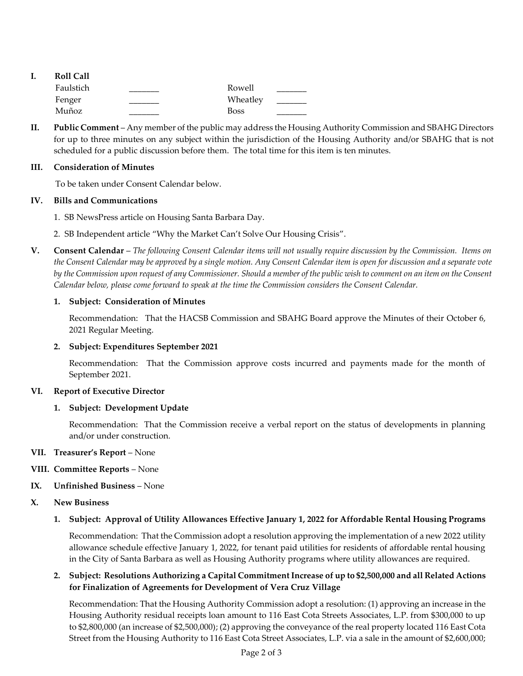| ı. | <b>Roll Call</b> |             |  |
|----|------------------|-------------|--|
|    | Faulstich        | Rowell      |  |
|    | Fenger           | Wheatley    |  |
|    | Muñoz            | <b>Boss</b> |  |

**II. Public Comment** – Any member of the public may address the Housing Authority Commission and SBAHG Directors for up to three minutes on any subject within the jurisdiction of the Housing Authority and/or SBAHG that is not scheduled for a public discussion before them. The total time for this item is ten minutes.

### **III. Consideration of Minutes**

To be taken under Consent Calendar below.

### **IV. Bills and Communications**

- 1. [SB NewsPress article on Housing Santa Barbara Day.](https://hacsb.org/download/meetings_2021/items/november/Item-IV.1_NewsPress-Housing-SB-Day.pdf)
- 2. SB Independent article ["Why the Market Can't Solve Our Housing Crisis"](https://hacsb.org/download/meetings_2021/items/november/Item-IV.2_Independent-article.pdf).
- **V. Consent Calendar** *The following Consent Calendar items will not usually require discussion by the Commission. Items on the Consent Calendar may be approved by a single motion. Any Consent Calendar item is open for discussion and a separate vote by the Commission upon request of any Commissioner. Should a member of the public wish to comment on an item on the Consent Calendar below, please come forward to speak at the time the Commission considers the Consent Calendar.*

## **1. Subject: Consideration of Minutes**

Recommendation: That the HACSB Commission [and SBAHG Board approve the Minutes of their October](https://hacsb.org/download/meetings_2021/items/november/Item-V.1_Minutes-10-06-2021.pdf) 6, 2021 Regular Meeting.

# **2. Subject: Expenditures September 2021**

[Recommendation: That the Commission approve costs incurred and payments made for the month of](https://hacsb.org/download/meetings_2021/items/november/Item-V.2_Expenditures-September-2021_short.pdf)  September 2021.

### **VI. Report of Executive Director**

### **1. Subject: Development Update**

Recommendation: That the Commission receive a verbal report on the status of developments in planning and/or under construction.

**VII. Treasurer's Report** – None

# **VIII. Committee Reports** – None

**IX. Unfinished Business** – None

# **X. New Business**

**[1. Subject: Approval of Utility Allowances Effective January 1, 2022 for Affordable Rental Housing Programs](https://hacsb.org/download/meetings_2021/items/november/Item-X.1_2022-Utility-Allowances.pdf)**

Recommendation: That the Commission adopt a resolution approving the implementation of a new 2022 utility allowance schedule effective January 1, 2022, for tenant paid utilities for residents of affordable rental housing in the City of Santa Barbara as well as Housing Authority programs where utility allowances are required.

## **2. Subject: Resolutions Authorizing a Capital Commitment Increase of up to \$2,500,000 and all Related Actions for Finalization of Agreements for Development of Vera Cruz Village**

Recommendation: That the Housing Authority Commission adopt a resolution: (1) approving an increase in the Housing Authority residual receipts loan amount to 116 East Cota Streets Associates, L.P. from \$300,000 to up [to \\$2,800,000 \(an increase of \\$2,500,000\); \(2\) approving the conveyance of the real property located 116 East Cota](https://hacsb.org/download/meetings_2021/items/november/Item-X.2_Vera-Cruz-Village.pdf)  Street from the Housing Authority to 116 East Cota Street Associates, L.P. via a sale in the amount of \$2,600,000;